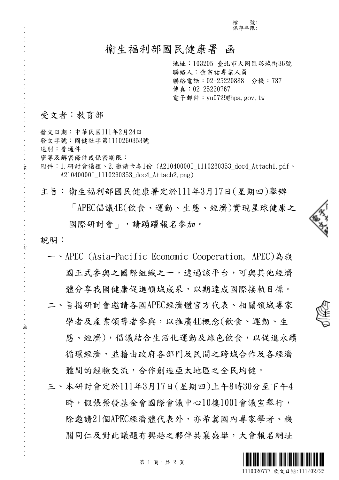檔 號: 保存年限:

## 衛生福利部國民健康署 函

地址:103205 臺北市大同區塔城街36號 聯絡人:余宗祐專業人員 聯絡電話:02-25220888 分機:737 傳真: 02-25220767 電子郵件: yu0729@hpa.gov.tw

### 受文者:教育部

. . . . . . . . . . . . . . . . . . . . . . . . . . . . . . 裝 . . . . . . . . . . . . . . . . 訂 . . . . . . . . . . . . . . . . 線 . . . . . . . . . . . . . . . . . . . . . . . . . . .

發文日期:中華民國111年2月24日 發文字號:國健社字第1110260353號 速別:普通件 密等及解密條件或保密期限: 附件:1.研討會議程、2.邀請卡各1份 (A21040000I\_1110260353\_doc4\_Attach1.pdf、 A21040000I 1110260353 doc4 Attach2.png)

主旨:衛生福利部國民健康署定於111年3月17日(星期四)舉辦

「APEC倡議4E(飲食、運動、生態、經濟)實現星球健康之 國際研討會 , , 請踴躍報名參加。

說明:

- 一、APEC (Asia-Pacific Economic Cooperation, APEC)為我 國正式參與之國際組織之一,透過該平台,可與其他經濟 體分享我國健康促進領域成果,以期達成國際接軌目標。
- 二、旨揭研討會邀請各國APEC經濟體官方代表、相關領域專家 學者及產業領導者參與,以推廣4E概念(飲食、運動、生 態、經濟),倡議結合生活化運動及綠色飲食,以促進永續 循環經濟,並藉由政府各部門及民間之跨域合作及各經濟 體間的經驗交流,合作創造亞太地區之全民均健。
- 三、本研討會定於111年3月17日(星期四)上午8時30分至下午4 時,假張榮發基金會國際會議中心10樓1001會議室舉行, 除邀請21個APEC經濟體代表外,亦希冀國內專家學者、機 關同仁及對此議題有興趣之夥伴共襄盛舉,大會報名網址



4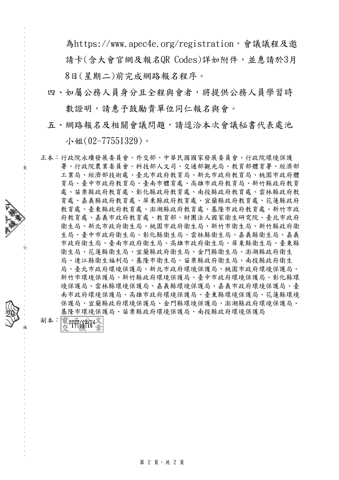為https://www.apec4e.org/registration,會議議程及邀 請卡(含大會官網及報名QR Codes)詳如附件,並惠請於3月 8日(星期二)前完成網路報名程序。

四、如屬公務人員身分且全程與會者,將提供公務人員學習時 數證明,請惠予鼓勵貴單位同仁報名與會。

五、網路報名及相關會議問題,請逕洽本次會議秘書代表處池

小姐(02-77551329)。

正本:行政院永續發展委員會、外交部、中華民國國家發展委員會、行政院環境保護 署、行政院農業委員會、科技部人文司、交通部觀光局、教育部體育署、經濟部 工業局、經濟部技術處、臺北市政府教育局、新北市政府教育局、桃園市政府體 育局、臺中市政府教育局、臺南市體育處、高雄市政府教育局、新竹縣政府教育 處、苗栗縣政府教育處、彰化縣政府教育處、南投縣政府教育處、雲林縣政府教 育處、嘉義縣政府教育處、屏東縣政府教育處、宜蘭縣政府教育處、花蓮縣政府 教育處、臺東縣政府教育處、澎湖縣政府教育處、基隆市政府教育處、新竹市政 府教育處、嘉義市政府教育處、教育部、財團法人國家衛生研究院、臺北市政府 衛生局、新北市政府衛生局、桃園市政府衛生局、新竹市衛生局、新竹縣政府衛 生局、臺中市政府衛生局、彰化縣衛生局、雲林縣衛生局、嘉義縣衛生局、嘉義 市政府衛生局、臺南市政府衛生局、高雄市政府衛生局、屏東縣衛生局、臺東縣 衛生局、花蓮縣衛生局、宜蘭縣政府衛生局、金門縣衛生局、澎湖縣政府衛生 局、連江縣衛生福利局、基隆市衛生局、苗栗縣政府衛生局、南投縣政府衛生 局、臺北市政府環境保護局、新北市政府環境保護局、桃園市政府環境保護局、 新竹市環境保護局、新竹縣政府環境保護局、臺中市政府環境保護局、彰化縣環 境保護局、雲林縣環境保護局、嘉義縣環境保護局、嘉義市政府環境保護局、臺 南市政府環境保護局、高雄市政府環境保護局、臺東縣環境保護局、花蓮縣環境 保護局、宜蘭縣政府環境保護局、金門縣環境保護局、澎湖縣政府環境保護局、 基隆市環境保護局、苗栗縣政府環境保護局、南投縣政府環境保護局



20

. . . . . . . . . . . . . . . . . . . . . . . . . . . . . . 裝 . . . . . . . . . . . . . . . . 訂 . . . . . . . . . . . . . . . . 線 . . . . . . . . . . . . . . . . . . . . . . . . . . .

第 2 頁,共 2 頁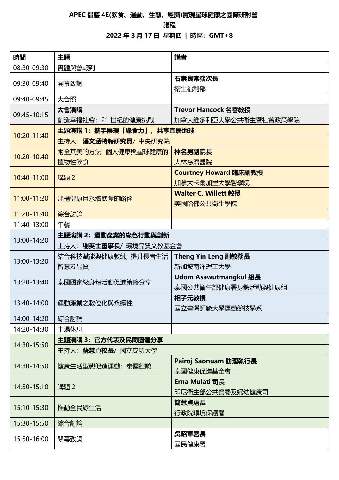### **APEC 倡議 4E(飲食、運動、生態、經濟)實現星球健康之國際研討會**

#### **議程**

**2022 年 3 月 17 日 星期四 | 時區:GMT+8**

| 時間          | 主題                             | 講者                           |
|-------------|--------------------------------|------------------------------|
| 08:30-09:30 | 實體與會報到                         |                              |
| 09:30-09:40 | 開幕致詞                           | 石崇良常務次長                      |
|             |                                | 衛生福利部                        |
| 09:40-09:45 | 大合照                            |                              |
| 09:45-10:15 | 大會演講                           | Trevor Hancock 名譽教授          |
|             | 創造幸福社會: 21 世紀的健康挑戰             | 加拿大維多利亞大學公共衛生暨社會政策學院         |
| 10:20-11:40 | 主題演講 1: 攜手展現「綠食力」, 共享宜居地球      |                              |
|             | 主持人: 潘文涵特聘研究員/ 中央研究院           |                              |
| 10:20-10:40 | 兩全其美的方法: 個人健康與星球健康的            | 林名男副院長                       |
|             | 植物性飲食                          | 大林慈濟醫院                       |
| 10:40-11:00 |                                | Courtney Howard 臨床副教授        |
|             | 講題 2                           | 加拿大卡爾加里大學醫學院                 |
| 11:00-11:20 | 建構健康且永續飲食的路徑                   | <b>Walter C. Willett 教授</b>  |
|             |                                | 美國哈佛公共衛生學院                   |
| 11:20-11:40 | 綜合討論                           |                              |
| 11:40-13:00 | 午餐                             |                              |
| 13:00-14:20 | 主題演講 2:運動產業的綠色行動與創新            |                              |
|             | 主持人: <b>謝英士董事長</b> / 環境品質文教基金會 |                              |
| 13:00-13:20 | 結合科技賦能與健康教練,提升長者生活             | Theng Yin Leng 副教務長          |
|             | 智慧及品質                          | 新加坡南洋理工大學                    |
| 13:20-13:40 | 泰國國家級身體活動促進策略分享                | <b>Udom Asawutmangkul 組長</b> |
|             |                                | 泰國公共衛生部健康署身體活動與健康組           |
| 13:40-14:00 | 運動產業之數位化與永續性                   | 相子元教授                        |
|             |                                | 國立臺灣師範大學運動競技學系               |
| 14:00-14:20 | 綜合討論                           |                              |
| 14:20-14:30 | 中場休息                           |                              |
| 14:30-15:50 | 主題演講 3: 官方代表及民間團體分享            |                              |
|             | 主持人: <b>蘇慧貞校長/</b> 國立成功大學      |                              |
| 14:30-14:50 | 健康生活型態促進運動: 泰國經驗               | Pairoj Saonuam 助理執行長         |
|             |                                | 泰國健康促進基金會                    |
| 14:50-15:10 | 講題 2                           | Erna Mulati 司長               |
|             |                                | 印尼衛生部公共營養及婦幼健康司              |
| 15:10-15:30 | 推動全民綠生活                        | 簡慧貞處長                        |
|             |                                | 行政院環境保護署                     |
| 15:30-15:50 | 綜合討論                           |                              |
| 15:50-16:00 | 閉幕致詞                           | 吳昭軍署長                        |
|             |                                | 國民健康署                        |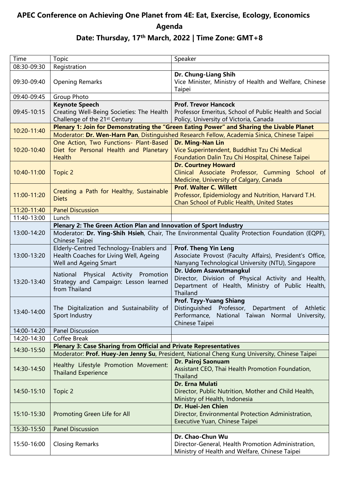# **APEC Conference on Achieving One Planet from 4E: Eat, Exercise, Ecology, Economics Agenda**

| Agenda<br>Date: Thursday, 17 <sup>th</sup> March, 2022   Time Zone: GMT+8 |                                                                                                                  |                                                                                                                                                        |  |
|---------------------------------------------------------------------------|------------------------------------------------------------------------------------------------------------------|--------------------------------------------------------------------------------------------------------------------------------------------------------|--|
| Time                                                                      | Topic                                                                                                            | Speaker                                                                                                                                                |  |
| 08:30-09:30                                                               | Registration                                                                                                     |                                                                                                                                                        |  |
| 09:30-09:40                                                               | <b>Opening Remarks</b>                                                                                           | Dr. Chung-Liang Shih<br>Vice Minister, Ministry of Health and Welfare, Chinese<br>Taipei                                                               |  |
| 09:40-09:45                                                               | Group Photo                                                                                                      |                                                                                                                                                        |  |
| 09:45-10:15                                                               | <b>Keynote Speech</b><br>Creating Well-Being Societies: The Health<br>Challenge of the 21 <sup>st</sup> Century  | <b>Prof. Trevor Hancock</b><br>Professor Emeritus, School of Public Health and Social<br>Policy, University of Victoria, Canada                        |  |
| 10:20-11:40                                                               | Plenary 1: Join for Demonstrating the "Green Eating Power" and Sharing the Livable Planet                        |                                                                                                                                                        |  |
|                                                                           | Moderator: Dr. Wen-Harn Pan, Distinguished Research Fellow, Academia Sinica, Chinese Taipei                      |                                                                                                                                                        |  |
| 10:20-10:40                                                               | One Action, Two Functions- Plant-Based<br>Diet for Personal Health and Planetary<br><b>Health</b>                | Dr. Ming-Nan Lin<br>Vice Superintendent, Buddhist Tzu Chi Medical<br>Foundation Dalin Tzu Chi Hospital, Chinese Taipei                                 |  |
| 10:40-11:00                                                               | <b>Topic 2</b>                                                                                                   | <b>Dr. Courtney Howard</b><br>Clinical Associate Professor, Cumming School of<br>Medicine, University of Calgary, Canada                               |  |
| 11:00-11:20                                                               | Creating a Path for Healthy, Sustainable<br><b>Diets</b>                                                         | <b>Prof. Walter C. Willett</b><br>Professor, Epidemiology and Nutrition, Harvard T.H.<br>Chan School of Public Health, United States                   |  |
| 11:20-11:40                                                               | <b>Panel Discussion</b>                                                                                          |                                                                                                                                                        |  |
| 11:40-13:00                                                               | Lunch                                                                                                            |                                                                                                                                                        |  |
|                                                                           | Plenary 2: The Green Action Plan and Innovation of Sport Industry                                                |                                                                                                                                                        |  |
| 13:00-14:20                                                               | Moderator: Dr. Ying-Shih Hsieh, Chair, The Environmental Quality Protection Foundation (EQPF),<br>Chinese Taipei |                                                                                                                                                        |  |
| 13:00-13:20                                                               | Elderly-Centred Technology-Enablers and<br>Health Coaches for Living Well, Ageing<br>Well and Ageing Smart       | <b>Prof. Theng Yin Leng</b><br>Associate Provost (Faculty Affairs), President's Office,<br>Nanyang Technological University (NTU), Singapore           |  |
| 13:20-13:40                                                               | National Physical Activity Promotion<br>Strategy and Campaign: Lesson learned<br>from Thailand                   | Dr. Udom Asawutmangkul<br>Director, Division of Physical Activity and Health,<br>Department of Health, Ministry of Public Health,<br>Thailand          |  |
| 13:40-14:00                                                               | The Digitalization and Sustainability of<br>Sport Industry                                                       | <b>Prof. Tzyy-Yuang Shiang</b><br>Distinguished Professor, Department of Athletic<br>Performance, National Taiwan Normal University,<br>Chinese Taipei |  |

14:00-14:20 | Panel Discussion 14:20-14:30 | Coffee Break 14:30-15:50 **Plenary 3: Case Sharing from Official and Private Representatives** Moderator: **Prof. Huey-Jen Jenny Su**, President, National Cheng Kung University, Chinese Taipei 14:30-14:50 Healthy Lifestyle Promotion Movement: Thailand Experience **Dr. Pairoj Saonuam** Assistant CEO, Thai Health Promotion Foundation, Thailand 14:50-15:10 Topic 2 **Dr. Erna Mulati** Director, Public Nutrition, Mother and Child Health, Ministry of Health, Indonesia 15:10-15:30 | Promoting Green Life for All **Dr. Huei-Jen Chien** Director, Environmental Protection Administration, Executive Yuan, Chinese Taipei 15:30-15:50 Panel Discussion 15:50-16:00 | Closing Remarks **Dr. Chao-Chun Wu** Director-General, Health Promotion Administration,

Ministry of Health and Welfare, Chinese Taipei